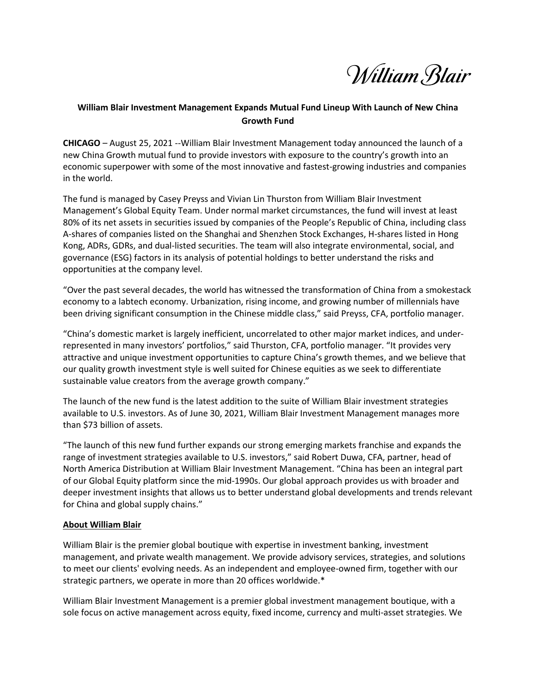William Blair

## **William Blair Investment Management Expands Mutual Fund Lineup With Launch of New China Growth Fund**

**CHICAGO** – August 25, 2021 --William Blair Investment Management today announced the launch of a new China Growth mutual fund to provide investors with exposure to the country's growth into an economic superpower with some of the most innovative and fastest-growing industries and companies in the world.

The fund is managed by Casey Preyss and Vivian Lin Thurston from William Blair Investment Management's Global Equity Team. Under normal market circumstances, the fund will invest at least 80% of its net assets in securities issued by companies of the People's Republic of China, including class A-shares of companies listed on the Shanghai and Shenzhen Stock Exchanges, H-shares listed in Hong Kong, ADRs, GDRs, and dual-listed securities. The team will also integrate environmental, social, and governance (ESG) factors in its analysis of potential holdings to better understand the risks and opportunities at the company level.

"Over the past several decades, the world has witnessed the transformation of China from a smokestack economy to a labtech economy. Urbanization, rising income, and growing number of millennials have been driving significant consumption in the Chinese middle class," said Preyss, CFA, portfolio manager.

"China's domestic market is largely inefficient, uncorrelated to other major market indices, and underrepresented in many investors' portfolios," said Thurston, CFA, portfolio manager. "It provides very attractive and unique investment opportunities to capture China's growth themes, and we believe that our quality growth investment style is well suited for Chinese equities as we seek to differentiate sustainable value creators from the average growth company."

The launch of the new fund is the latest addition to the suite of William Blair investment strategies available to U.S. investors. As of June 30, 2021, William Blair Investment Management manages more than \$73 billion of assets.

"The launch of this new fund further expands our strong emerging markets franchise and expands the range of investment strategies available to U.S. investors," said Robert Duwa, CFA, partner, head of North America Distribution at William Blair Investment Management. "China has been an integral part of our Global Equity platform since the mid-1990s. Our global approach provides us with broader and deeper investment insights that allows us to better understand global developments and trends relevant for China and global supply chains."

## **About William Blair**

William Blair is the premier global boutique with expertise in investment banking, investment management, and private wealth management. We provide advisory services, strategies, and solutions to meet our clients' evolving needs. As an independent and employee-owned firm, together with our strategic partners, we operate in more than 20 offices worldwide.\*

William Blair Investment Management is a premier global investment management boutique, with a sole focus on active management across equity, fixed income, currency and multi-asset strategies. We